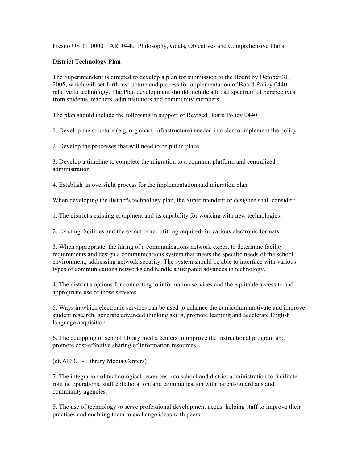Fresno USD | 0000 | AR 0440 Philosophy, Goals, Objectives and Comprehensive Plans

## **District Technology Plan**

The Superintendent is directed to develop a plan for submission to the Board by October 31, 2005, which will set forth a structure and process for implementation of Board Policy 0440 relative to technology. The Plan development should include a broad spectrum of perspectives from students, teachers, administrators and community members.

The plan should include the following in support of Revised Board Policy 0440:

1. Develop the structure (e.g. org chart, infrastructure) needed in order to implement the policy

2. Develop the processes that will need to be put in place

3. Develop a timeline to complete the migration to a common platform and centralized administration

4. Establish an oversight process for the implementation and migration plan

When developing the district's technology plan, the Superintendent or designee shall consider:

1. The district's existing equipment and its capability for working with new technologies.

2. Existing facilities and the extent of retrofitting required for various electronic formats.

3. When appropriate, the hiring of a communications network expert to determine facility requirements and design a communications system that meets the specific needs of the school environment, addressing network security. The system should be able to interface with various types of communications networks and handle anticipated advances in technology.

4. The district's options for connecting to information services and the equitable access to and appropriate use of those services.

5. Ways in which electronic services can be used to enhance the curriculum motivate and improve student research, generate advanced thinking skills, promote learning and accelerate English language acquisition.

6. The equipping of school library media centers to improve the instructional program and promote cost-effective sharing of information resources.

(cf. 6163.1 - Library Media Centers)

7. The integration of technological resources into school and district administration to facilitate routine operations, staff collaboration, and communication with parents/guardians and community agencies.

8. The use of technology to serve professional development needs, helping staff to improve their practices and enabling them to exchange ideas with peers.